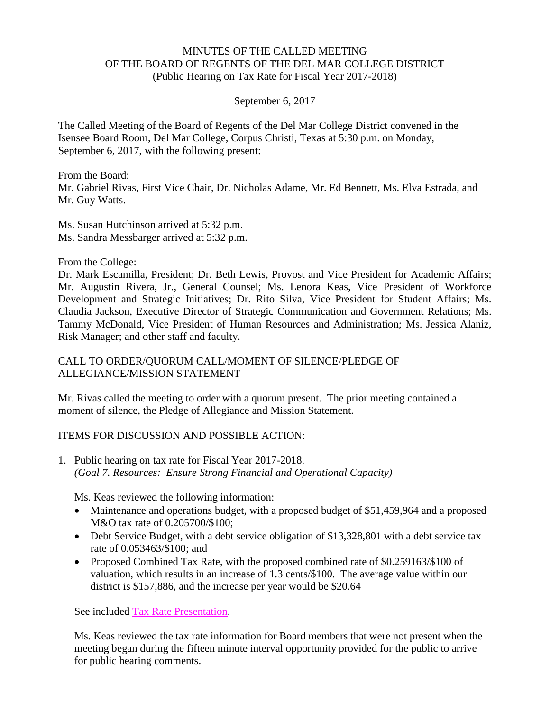## MINUTES OF THE CALLED MEETING OF THE BOARD OF REGENTS OF THE DEL MAR COLLEGE DISTRICT (Public Hearing on Tax Rate for Fiscal Year 2017-2018)

## September 6, 2017

The Called Meeting of the Board of Regents of the Del Mar College District convened in the Isensee Board Room, Del Mar College, Corpus Christi, Texas at 5:30 p.m. on Monday, September 6, 2017, with the following present:

From the Board: Mr. Gabriel Rivas, First Vice Chair, Dr. Nicholas Adame, Mr. Ed Bennett, Ms. Elva Estrada, and Mr. Guy Watts.

Ms. Susan Hutchinson arrived at 5:32 p.m. Ms. Sandra Messbarger arrived at 5:32 p.m.

From the College:

Dr. Mark Escamilla, President; Dr. Beth Lewis, Provost and Vice President for Academic Affairs; Mr. Augustin Rivera, Jr., General Counsel; Ms. Lenora Keas, Vice President of Workforce Development and Strategic Initiatives; Dr. Rito Silva, Vice President for Student Affairs; Ms. Claudia Jackson, Executive Director of Strategic Communication and Government Relations; Ms. Tammy McDonald, Vice President of Human Resources and Administration; Ms. Jessica Alaniz, Risk Manager; and other staff and faculty.

## CALL TO ORDER/QUORUM CALL/MOMENT OF SILENCE/PLEDGE OF ALLEGIANCE/MISSION STATEMENT

Mr. Rivas called the meeting to order with a quorum present. The prior meeting contained a moment of silence, the Pledge of Allegiance and Mission Statement.

## ITEMS FOR DISCUSSION AND POSSIBLE ACTION:

1. Public hearing on tax rate for Fiscal Year 2017-2018. *(Goal 7. Resources: Ensure Strong Financial and Operational Capacity)*

Ms. Keas reviewed the following information:

- Maintenance and operations budget, with a proposed budget of \$51,459,964 and a proposed M&O tax rate of 0.205700/\$100;
- Debt Service Budget, with a debt service obligation of \$13,328,801 with a debt service tax rate of 0.053463/\$100; and
- Proposed Combined Tax Rate, with the proposed combined rate of \$0.259163/\$100 of valuation, which results in an increase of 1.3 cents/\$100. The average value within our district is \$157,886, and the increase per year would be \$20.64

See included Tax Rate [Presentation.](http://www.delmar.edu/WorkArea/DownloadAsset.aspx?id=2147486059)

Ms. Keas reviewed the tax rate information for Board members that were not present when the meeting began during the fifteen minute interval opportunity provided for the public to arrive for public hearing comments.